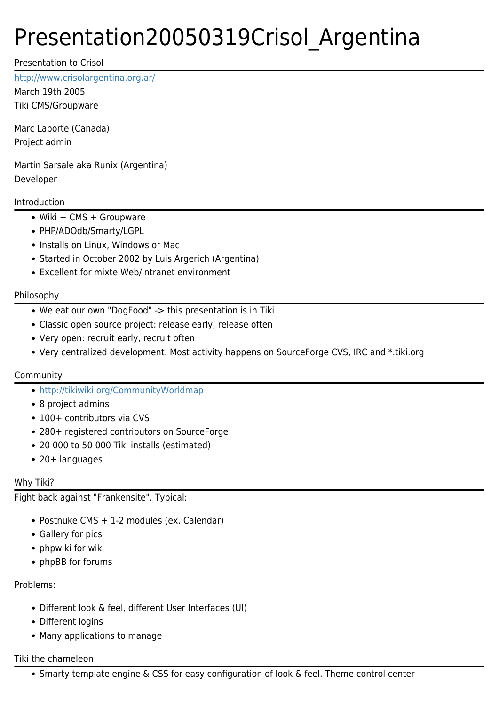# Presentation20050319Crisol\_Argentina

Presentation to Crisol

<http://www.crisolargentina.org.ar/>

March 19th 2005 Tiki CMS/Groupware

Marc Laporte (Canada) Project admin

Martin Sarsale aka Runix (Argentina) Developer

# Introduction

- Wiki + CMS + Groupware
- PHP/ADOdb/Smarty/LGPL
- Installs on Linux, Windows or Mac
- Started in October 2002 by Luis Argerich (Argentina)
- Excellent for mixte Web/Intranet environment

# Philosophy

- We eat our own "DogFood" -> this presentation is in Tiki
- Classic open source project: release early, release often
- Very open: recruit early, recruit often
- Very centralized development. Most activity happens on SourceForge CVS, IRC and \*.tiki.org

# Community

- <http://tikiwiki.org/CommunityWorldmap>
- 8 project admins
- 100+ contributors via CVS
- 280+ registered contributors on SourceForge
- 20 000 to 50 000 Tiki installs (estimated)
- 20+ languages

# Why Tiki?

Fight back against "Frankensite". Typical:

- Postnuke CMS + 1-2 modules (ex. Calendar)
- Gallery for pics
- phpwiki for wiki
- phpBB for forums

# Problems:

- Different look & feel, different User Interfaces (UI)
- Different logins
- Many applications to manage

#### Tiki the chameleon

• Smarty template engine & CSS for easy configuration of look & feel. Theme control center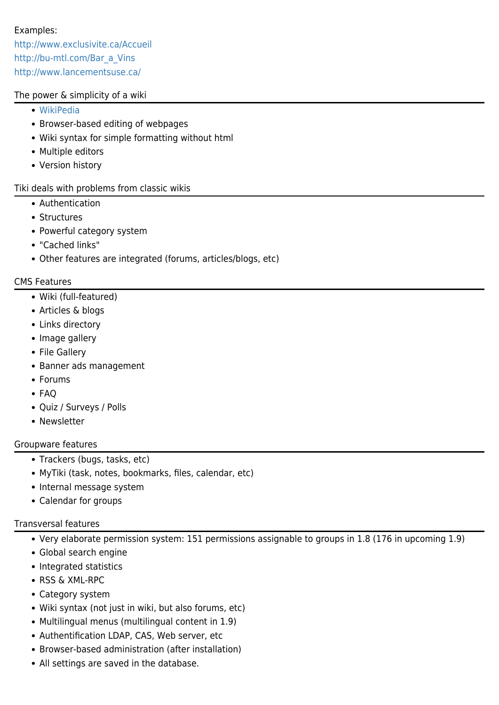# Examples:

<http://www.exclusivite.ca/Accueil> [http://bu-mtl.com/Bar\\_a\\_Vins](http://bu-mtl.com/Bar_a_Vins) <http://www.lancementsuse.ca/>

### The power & simplicity of a wiki

- [WikiPedia](http://es.wikipedia.org/)
- Browser-based editing of webpages
- Wiki syntax for simple formatting without html
- Multiple editors
- Version history

Tiki deals with problems from classic wikis

- Authentication
- Structures
- Powerful category system
- "Cached links"
- Other features are integrated (forums, articles/blogs, etc)

#### CMS Features

- Wiki (full-featured)
- Articles & blogs
- Links directory
- Image gallery
- File Gallery
- Banner ads management
- Forums
- FAQ
- Quiz / Surveys / Polls
- Newsletter

#### Groupware features

- Trackers (bugs, tasks, etc)
- MyTiki (task, notes, bookmarks, files, calendar, etc)
- Internal message system
- Calendar for groups

# Transversal features

- Very elaborate permission system: 151 permissions assignable to groups in 1.8 (176 in upcoming 1.9)
- Global search engine
- Integrated statistics
- RSS & XML-RPC
- Category system
- Wiki syntax (not just in wiki, but also forums, etc)
- Multilingual menus (multilingual content in 1.9)
- Authentification LDAP, CAS, Web server, etc
- Browser-based administration (after installation)
- All settings are saved in the database.